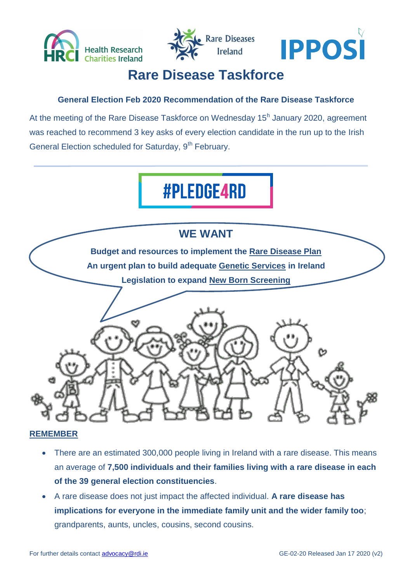





## **Rare Disease Taskforce**

#### **General Election Feb 2020 Recommendation of the Rare Disease Taskforce**

At the meeting of the Rare Disease Taskforce on Wednesday 15<sup>h</sup> January 2020, agreement was reached to recommend 3 key asks of every election candidate in the run up to the Irish General Election scheduled for Saturday, 9<sup>th</sup> February.

# **#PLEDGE4RD**



#### **REMEMBER**

- There are an estimated 300,000 people living in Ireland with a rare disease. This means an average of **7,500 individuals and their families living with a rare disease in each of the 39 general election constituencies**.
- A rare disease does not just impact the affected individual. **A rare disease has implications for everyone in the immediate family unit and the wider family too**; grandparents, aunts, uncles, cousins, second cousins.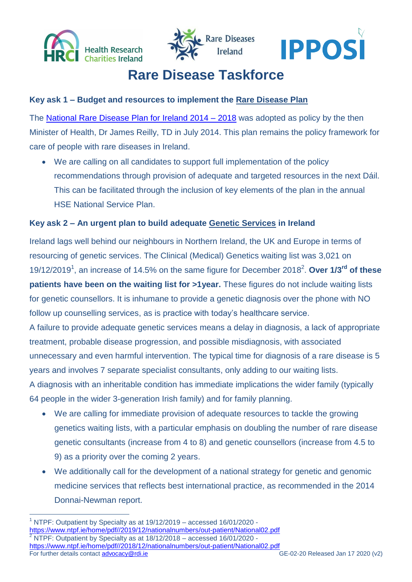





## **Rare Disease Taskforce**

#### **Key ask 1 – Budget and resources to implement the Rare Disease Plan**

The [National Rare Disease Plan for Ireland 2014 –](https://assets.gov.ie/37342/da70fc6fadd24425b98311e679f4406b.pdf) 2018 was adopted as policy by the then Minister of Health, Dr James Reilly, TD in July 2014. This plan remains the policy framework for care of people with rare diseases in Ireland.

 We are calling on all candidates to support full implementation of the policy recommendations through provision of adequate and targeted resources in the next Dáil. This can be facilitated through the inclusion of key elements of the plan in the annual HSE National Service Plan.

#### **Key ask 2 – An urgent plan to build adequate Genetic Services in Ireland**

Ireland lags well behind our neighbours in Northern Ireland, the UK and Europe in terms of resourcing of genetic services. The Clinical (Medical) Genetics waiting list was 3,021 on 19/12/2019<sup>1</sup> , an increase of 14.5% on the same figure for December 2018 2 . **Over 1/3rd of these patients have been on the waiting list for >1year.** These figures do not include waiting lists for genetic counsellors. It is inhumane to provide a genetic diagnosis over the phone with NO follow up counselling services, as is practice with today's healthcare service. A failure to provide adequate genetic services means a delay in diagnosis, a lack of appropriate treatment, probable disease progression, and possible misdiagnosis, with associated unnecessary and even harmful intervention. The typical time for diagnosis of a rare disease is 5 years and involves 7 separate specialist consultants, only adding to our waiting lists. A diagnosis with an inheritable condition has immediate implications the wider family (typically 64 people in the wider 3-generation Irish family) and for family planning.

- We are calling for immediate provision of adequate resources to tackle the growing genetics waiting lists, with a particular emphasis on doubling the number of rare disease genetic consultants (increase from 4 to 8) and genetic counsellors (increase from 4.5 to 9) as a priority over the coming 2 years.
- We additionally call for the development of a national strategy for genetic and genomic medicine services that reflects best international practice, as recommended in the 2014 Donnai-Newman report.

For further details contact [advocacy@rdi.ie](mailto:advocacy@rdi.ie) GE-02-20 Released Jan 17 2020 (v2)  $\overline{a}$  $1$  NTPF: Outpatient by Specialty as at  $19/12/2019$  – accessed  $16/01/2020$  [https://www.ntpf.ie/home/pdf//2019/12/nationalnumbers/out-patient/National02.pdf](https://www.ntpf.ie/home/pdf/2019/12/nationalnumbers/out-patient/National02.pdf) <sup>2</sup> NTPF: Outpatient by Specialty as at 18/12/2018 – accessed 16/01/2020 [https://www.ntpf.ie/home/pdf//2018/12/nationalnumbers/out-patient/National02.pdf](https://www.ntpf.ie/home/pdf/2018/12/nationalnumbers/out-patient/National02.pdf)